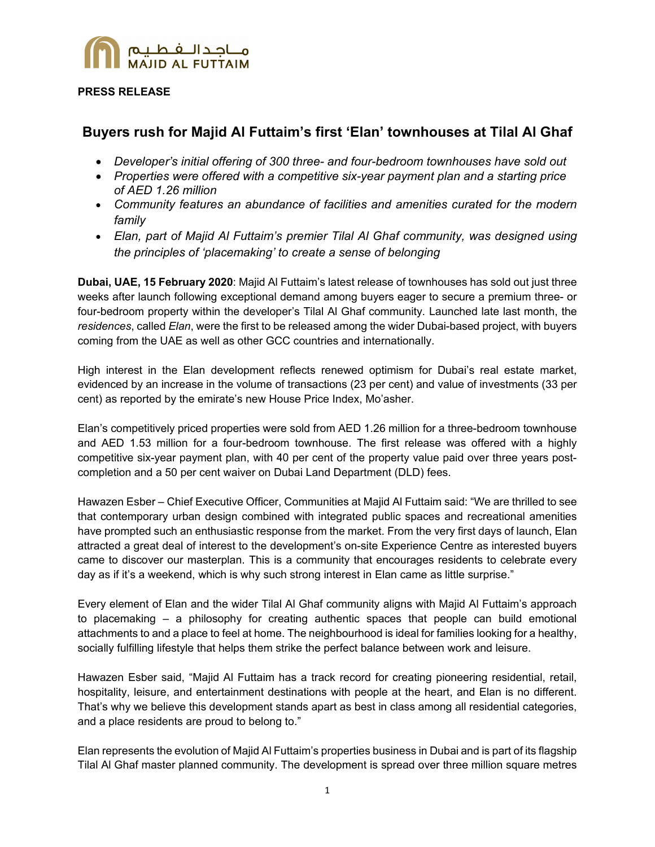

## **PRESS RELEASE**

# **Buyers rush for Majid Al Futtaim's first 'Elan' townhouses at Tilal Al Ghaf**

- *Developer's initial offering of 300 three- and four-bedroom townhouses have sold out*
- *Properties were offered with a competitive six-year payment plan and a starting price of AED 1.26 million*
- *Community features an abundance of facilities and amenities curated for the modern family*
- *Elan, part of Majid Al Futtaim's premier Tilal Al Ghaf community, was designed using the principles of 'placemaking' to create a sense of belonging*

**Dubai, UAE, 15 February 2020**: Majid Al Futtaim's latest release of townhouses has sold out just three weeks after launch following exceptional demand among buyers eager to secure a premium three- or four-bedroom property within the developer's Tilal Al Ghaf community. Launched late last month, the *residences*, called *Elan*, were the first to be released among the wider Dubai-based project, with buyers coming from the UAE as well as other GCC countries and internationally.

High interest in the Elan development reflects renewed optimism for Dubai's real estate market, evidenced by an increase in the volume of transactions (23 per cent) and value of investments (33 per cent) as reported by the emirate's new House Price Index, Mo'asher.

Elan's competitively priced properties were sold from AED 1.26 million for a three-bedroom townhouse and AED 1.53 million for a four-bedroom townhouse. The first release was offered with a highly competitive six-year payment plan, with 40 per cent of the property value paid over three years postcompletion and a 50 per cent waiver on Dubai Land Department (DLD) fees.

Hawazen Esber – Chief Executive Officer, Communities at Majid Al Futtaim said: "We are thrilled to see that contemporary urban design combined with integrated public spaces and recreational amenities have prompted such an enthusiastic response from the market. From the very first days of launch, Elan attracted a great deal of interest to the development's on-site Experience Centre as interested buyers came to discover our masterplan. This is a community that encourages residents to celebrate every day as if it's a weekend, which is why such strong interest in Elan came as little surprise."

Every element of Elan and the wider Tilal Al Ghaf community aligns with Majid Al Futtaim's approach to placemaking – a philosophy for creating authentic spaces that people can build emotional attachments to and a place to feel at home. The neighbourhood is ideal for families looking for a healthy, socially fulfilling lifestyle that helps them strike the perfect balance between work and leisure.

Hawazen Esber said, "Majid Al Futtaim has a track record for creating pioneering residential, retail, hospitality, leisure, and entertainment destinations with people at the heart, and Elan is no different. That's why we believe this development stands apart as best in class among all residential categories, and a place residents are proud to belong to."

Elan represents the evolution of Majid Al Futtaim's properties business in Dubai and is part of its flagship Tilal Al Ghaf master planned community. The development is spread over three million square metres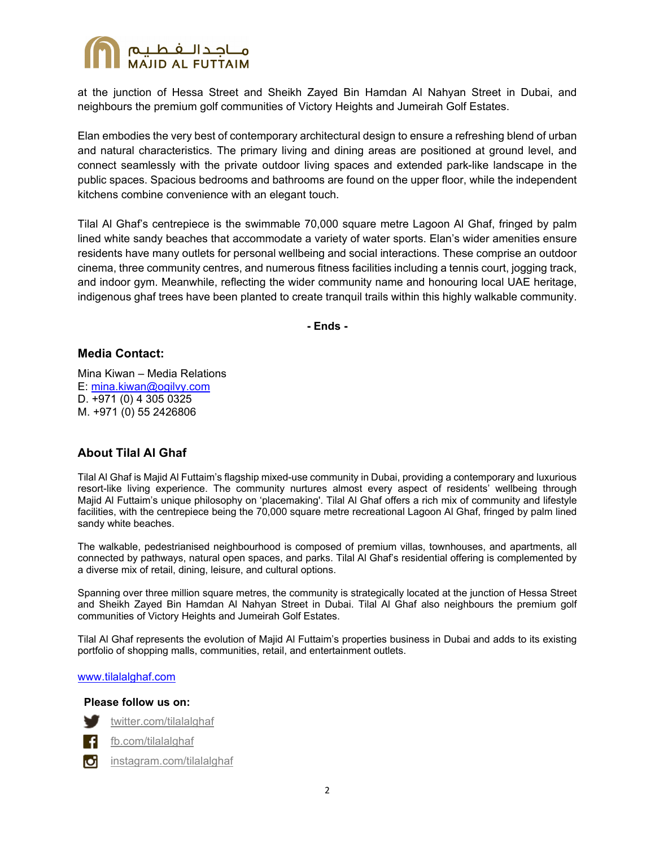

at the junction of Hessa Street and Sheikh Zayed Bin Hamdan Al Nahyan Street in Dubai, and neighbours the premium golf communities of Victory Heights and Jumeirah Golf Estates.

Elan embodies the very best of contemporary architectural design to ensure a refreshing blend of urban and natural characteristics. The primary living and dining areas are positioned at ground level, and connect seamlessly with the private outdoor living spaces and extended park-like landscape in the public spaces. Spacious bedrooms and bathrooms are found on the upper floor, while the independent kitchens combine convenience with an elegant touch.

Tilal Al Ghaf's centrepiece is the swimmable 70,000 square metre Lagoon Al Ghaf, fringed by palm lined white sandy beaches that accommodate a variety of water sports. Elan's wider amenities ensure residents have many outlets for personal wellbeing and social interactions. These comprise an outdoor cinema, three community centres, and numerous fitness facilities including a tennis court, jogging track, and indoor gym. Meanwhile, reflecting the wider community name and honouring local UAE heritage, indigenous ghaf trees have been planted to create tranquil trails within this highly walkable community.

**- Ends -** 

## **Media Contact:**

Mina Kiwan – Media Relations E: mina.kiwan@ogilvy.com D. +971 (0) 4 305 0325 M. +971 (0) 55 2426806

## **About Tilal Al Ghaf**

Tilal Al Ghaf is Majid Al Futtaim's flagship mixed-use community in Dubai, providing a contemporary and luxurious resort-like living experience. The community nurtures almost every aspect of residents' wellbeing through Majid Al Futtaim's unique philosophy on 'placemaking'. Tilal Al Ghaf offers a rich mix of community and lifestyle facilities, with the centrepiece being the 70,000 square metre recreational Lagoon Al Ghaf, fringed by palm lined sandy white beaches.

The walkable, pedestrianised neighbourhood is composed of premium villas, townhouses, and apartments, all connected by pathways, natural open spaces, and parks. Tilal Al Ghaf's residential offering is complemented by a diverse mix of retail, dining, leisure, and cultural options.

Spanning over three million square metres, the community is strategically located at the junction of Hessa Street and Sheikh Zayed Bin Hamdan Al Nahyan Street in Dubai. Tilal Al Ghaf also neighbours the premium golf communities of Victory Heights and Jumeirah Golf Estates.

Tilal Al Ghaf represents the evolution of Majid Al Futtaim's properties business in Dubai and adds to its existing portfolio of shopping malls, communities, retail, and entertainment outlets.

#### www.tilalalghaf.com

 **Please follow us on:** 



fb.com/tilalalghaf

instagram.com/tilalalghafюI

twitter.com/tilalalghaf